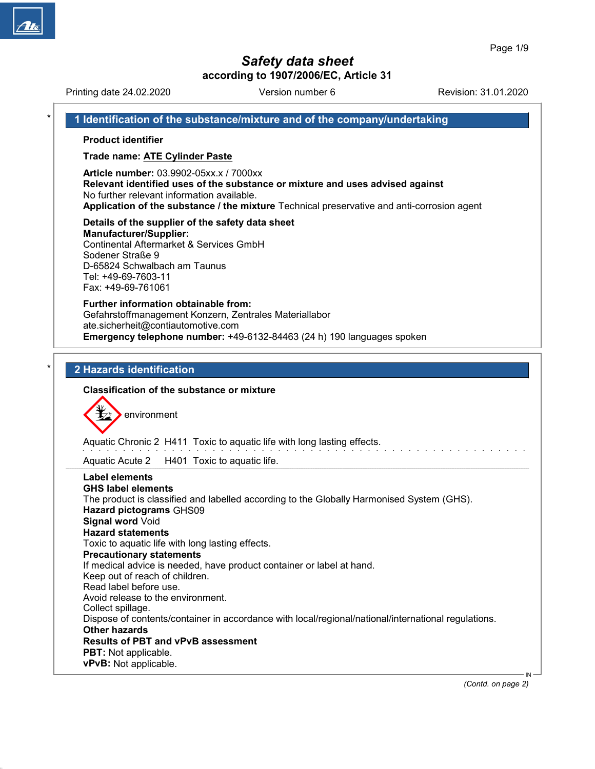# Safety data sheet

according to 1907/2006/EC, Article 31

Printing date 24.02.2020 **Revision: 31.01.2020** Version number 6 Revision: 31.01.2020 1 Identification of the substance/mixture and of the company/undertaking Product identifier Trade name: ATE Cylinder Paste Article number: 03.9902-05xx.x / 7000xx Relevant identified uses of the substance or mixture and uses advised against No further relevant information available. Application of the substance / the mixture Technical preservative and anti-corrosion agent Details of the supplier of the safety data sheet Manufacturer/Supplier: Continental Aftermarket & Services GmbH Sodener Straße 9 D-65824 Schwalbach am Taunus Tel: +49-69-7603-11 Fax: +49-69-761061 Further information obtainable from: Gefahrstoffmanagement Konzern, Zentrales Materiallabor ate.sicherheit@contiautomotive.com Emergency telephone number: +49-6132-84463 (24 h) 190 languages spoken 2 Hazards identification Classification of the substance or mixture environment Aquatic Chronic 2 H411 Toxic to aquatic life with long lasting effects. Aquatic Acute 2 H401 Toxic to aquatic life. Label elements GHS label elements The product is classified and labelled according to the Globally Harmonised System (GHS). Hazard pictograms GHS09 Signal word Void Hazard statements Toxic to aquatic life with long lasting effects. Precautionary statements If medical advice is needed, have product container or label at hand. Keep out of reach of children. Read label before use. Avoid release to the environment. Collect spillage. Dispose of contents/container in accordance with local/regional/national/international regulations. Other hazards Results of PBT and vPvB assessment PBT: Not applicable. vPvB: Not applicable.

50.0.1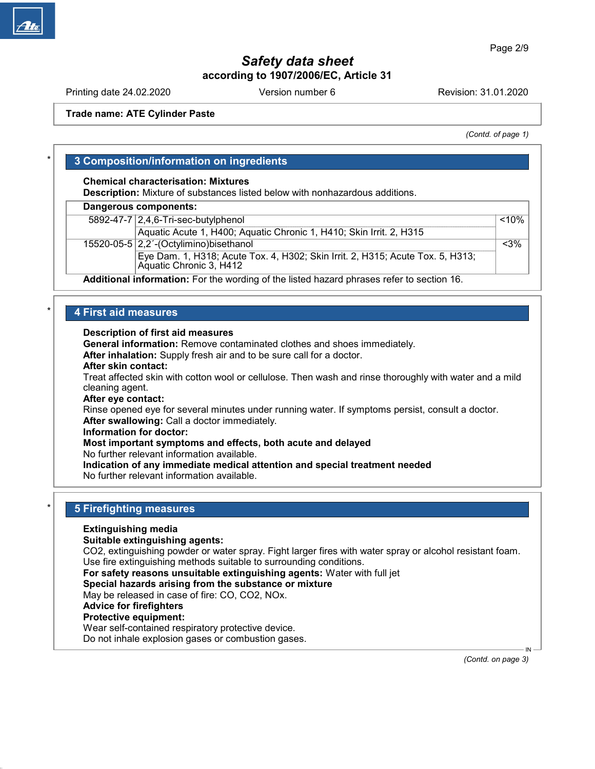Printing date 24.02.2020 **Revision: 31.01.2020** Version number 6 Revision: 31.01.2020

Trade name: ATE Cylinder Paste

(Contd. of page 1)

# 3 Composition/information on ingredients

### Chemical characterisation: Mixtures

Description: Mixture of substances listed below with nonhazardous additions.

#### Dangerous components:

| 5892-47-7 2,4,6-Tri-sec-butylphenol                                                                       | $< 10\%$ |
|-----------------------------------------------------------------------------------------------------------|----------|
| Aquatic Acute 1, H400; Aquatic Chronic 1, H410; Skin Irrit. 2, H315                                       |          |
| 15520-05-5 $ 2,2$ -(Octylimino) bisethanol                                                                | $<$ 3%   |
| Eye Dam. 1, H318; Acute Tox. 4, H302; Skin Irrit. 2, H315; Acute Tox. 5, H313;<br>Aquatic Chronic 3, H412 |          |
| .<br>$\sim$                                                                                               |          |

Additional information: For the wording of the listed hazard phrases refer to section 16.

# 4 First aid measures

### Description of first aid measures

General information: Remove contaminated clothes and shoes immediately.

After inhalation: Supply fresh air and to be sure call for a doctor.

#### After skin contact:

Treat affected skin with cotton wool or cellulose. Then wash and rinse thoroughly with water and a mild cleaning agent.

#### After eye contact:

Rinse opened eye for several minutes under running water. If symptoms persist, consult a doctor. After swallowing: Call a doctor immediately.

#### Information for doctor:

### Most important symptoms and effects, both acute and delayed

No further relevant information available.

Indication of any immediate medical attention and special treatment needed

No further relevant information available.

# **5 Firefighting measures**

### Extinguishing media

#### Suitable extinguishing agents:

CO2, extinguishing powder or water spray. Fight larger fires with water spray or alcohol resistant foam. Use fire extinguishing methods suitable to surrounding conditions.

For safety reasons unsuitable extinguishing agents: Water with full jet

### Special hazards arising from the substance or mixture

May be released in case of fire: CO, CO2, NOx.

#### Advice for firefighters

### Protective equipment:

50.0.1

Wear self-contained respiratory protective device.

Do not inhale explosion gases or combustion gases.

 IN (Contd. on page 3)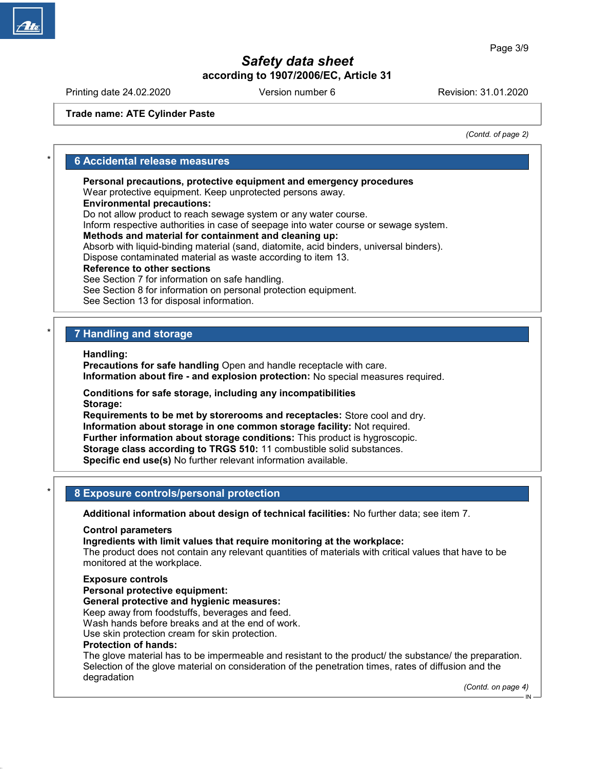Printing date 24.02.2020 **Revision: 31.01.2020** Version number 6 Revision: 31.01.2020

Trade name: ATE Cylinder Paste

(Contd. of page 2)

### **6 Accidental release measures**

Personal precautions, protective equipment and emergency procedures

Wear protective equipment. Keep unprotected persons away.

Environmental precautions:

Do not allow product to reach sewage system or any water course.

Inform respective authorities in case of seepage into water course or sewage system.

### Methods and material for containment and cleaning up:

Absorb with liquid-binding material (sand, diatomite, acid binders, universal binders). Dispose contaminated material as waste according to item 13.

### Reference to other sections

See Section 7 for information on safe handling.

See Section 8 for information on personal protection equipment.

See Section 13 for disposal information.

# 7 Handling and storage

Handling:

Precautions for safe handling Open and handle receptacle with care. Information about fire - and explosion protection: No special measures required.

Conditions for safe storage, including any incompatibilities Storage:

Requirements to be met by storerooms and receptacles: Store cool and dry. Information about storage in one common storage facility: Not required. Further information about storage conditions: This product is hygroscopic. Storage class according to TRGS 510: 11 combustible solid substances. Specific end use(s) No further relevant information available.

# 8 Exposure controls/personal protection

Additional information about design of technical facilities: No further data; see item 7.

### Control parameters

Ingredients with limit values that require monitoring at the workplace:

The product does not contain any relevant quantities of materials with critical values that have to be monitored at the workplace.

### Exposure controls

Personal protective equipment:

### General protective and hygienic measures:

Keep away from foodstuffs, beverages and feed.

Wash hands before breaks and at the end of work.

Use skin protection cream for skin protection.

### Protection of hands:

50.0.1

The glove material has to be impermeable and resistant to the product/ the substance/ the preparation. Selection of the glove material on consideration of the penetration times, rates of diffusion and the degradation

(Contd. on page 4)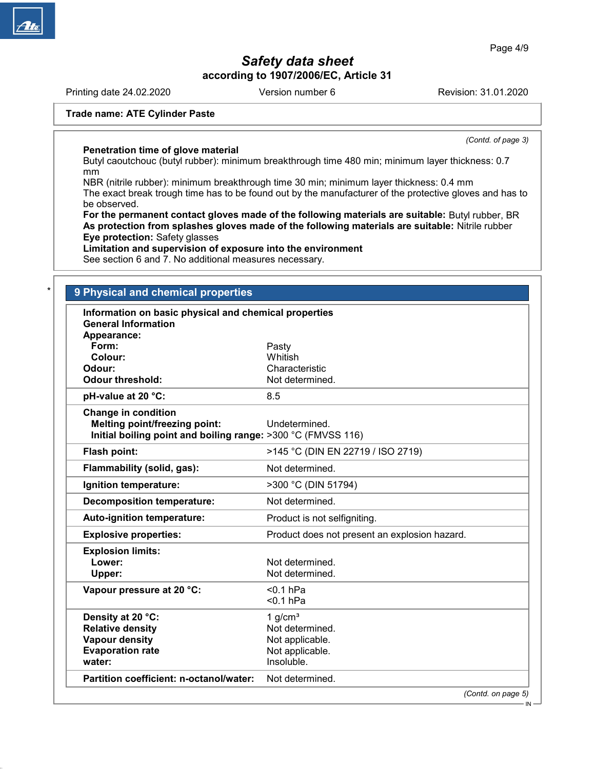Printing date 24.02.2020 **Revision: 31.01.2020** Version number 6 Revision: 31.01.2020

(Contd. of page 3)

### Trade name: ATE Cylinder Paste

Penetration time of glove material

Butyl caoutchouc (butyl rubber): minimum breakthrough time 480 min; minimum layer thickness: 0.7 mm

NBR (nitrile rubber): minimum breakthrough time 30 min; minimum layer thickness: 0.4 mm The exact break trough time has to be found out by the manufacturer of the protective gloves and has to be observed.

For the permanent contact gloves made of the following materials are suitable: Butyl rubber, BR As protection from splashes gloves made of the following materials are suitable: Nitrile rubber Eye protection: Safety glasses

Limitation and supervision of exposure into the environment

See section 6 and 7. No additional measures necessary.

### **9 Physical and chemical properties**

50.0.1

| Information on basic physical and chemical properties<br><b>General Information</b><br>Appearance: |                                               |
|----------------------------------------------------------------------------------------------------|-----------------------------------------------|
| Form:                                                                                              | Pasty                                         |
| Colour:                                                                                            | Whitish                                       |
| Odour:                                                                                             | Characteristic                                |
| <b>Odour threshold:</b>                                                                            | Not determined.                               |
| pH-value at 20 °C:                                                                                 | 8.5                                           |
| <b>Change in condition</b><br><b>Melting point/freezing point:</b>                                 | Undetermined.                                 |
| Initial boiling point and boiling range: >300 °C (FMVSS 116)                                       |                                               |
| Flash point:                                                                                       | >145 °C (DIN EN 22719 / ISO 2719)             |
| Flammability (solid, gas):                                                                         | Not determined.                               |
| Ignition temperature:                                                                              | >300 °C (DIN 51794)                           |
| <b>Decomposition temperature:</b>                                                                  | Not determined.                               |
| Auto-ignition temperature:                                                                         | Product is not selfigniting.                  |
| <b>Explosive properties:</b>                                                                       | Product does not present an explosion hazard. |
| <b>Explosion limits:</b><br>Lower:<br>Upper:                                                       | Not determined.<br>Not determined.            |
| Vapour pressure at 20 °C:                                                                          | $< 0.1$ hPa<br>$0.1$ hPa                      |
| Density at 20 °C:                                                                                  | 1 $g/cm3$                                     |
| <b>Relative density</b>                                                                            | Not determined.                               |
| <b>Vapour density</b>                                                                              | Not applicable.                               |
| <b>Evaporation rate</b>                                                                            | Not applicable.                               |
| water:                                                                                             | Insoluble.                                    |
| Partition coefficient: n-octanol/water:                                                            | Not determined.                               |
|                                                                                                    | (Contd. on page 5)                            |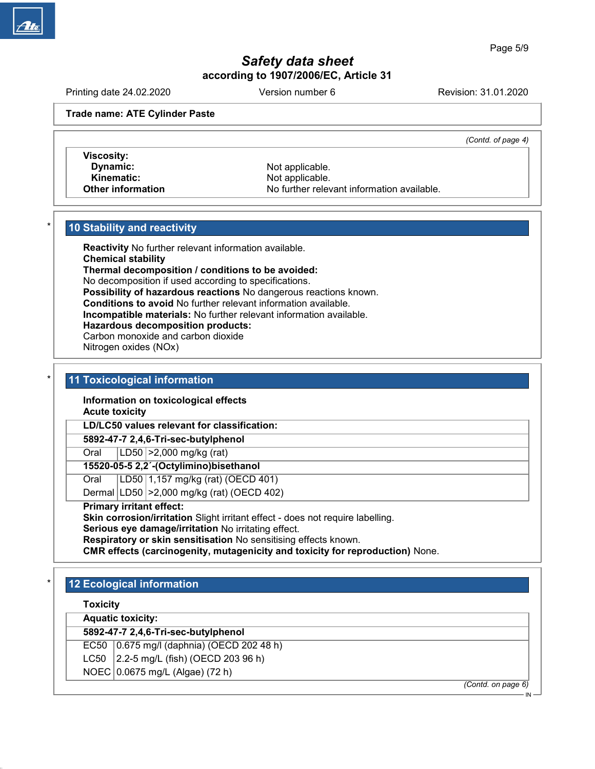Printing date 24.02.2020 **Revision: 31.01.2020** Version number 6 Revision: 31.01.2020

Trade name: ATE Cylinder Paste

(Contd. of page 4)

Viscosity: Dynamic: Not applicable. Kinematic: Not applicable.<br>
Other information<br>
Other information<br>
Other information

No further relevant information available.

# 10 Stability and reactivity

Reactivity No further relevant information available. Chemical stability Thermal decomposition / conditions to be avoided: No decomposition if used according to specifications. Possibility of hazardous reactions No dangerous reactions known. Conditions to avoid No further relevant information available. Incompatible materials: No further relevant information available. Hazardous decomposition products: Carbon monoxide and carbon dioxide Nitrogen oxides (NOx)

### 11 Toxicological information

Information on toxicological effects Acute toxicity

LD/LC50 values relevant for classification:

5892-47-7 2,4,6-Tri-sec-butylphenol

Oral LD50 >2,000 mg/kg (rat)

15520-05-5 2,2´-(Octylimino)bisethanol

Oral | LD50 | 1,157 mg/kg (rat) (OECD 401)

Dermal LD50 >2,000 mg/kg (rat) (OECD 402)

# Primary irritant effect:

Skin corrosion/irritation Slight irritant effect - does not require labelling.

Serious eye damage/irritation No irritating effect.

Respiratory or skin sensitisation No sensitising effects known.

CMR effects (carcinogenity, mutagenicity and toxicity for reproduction) None.

# **12 Ecological information**

Toxicity

50.0.1

Aquatic toxicity:

# 5892-47-7 2,4,6-Tri-sec-butylphenol

EC50  $(0.675 \text{ mg/l} \text{ (daphnia)} \text{ (OECD 202 48 h)}$ 

LC50  $\vert$  2.2-5 mg/L (fish) (OECD 203 96 h)

NOEC 0.0675 mg/L (Algae) (72 h)

(Contd. on page 6)

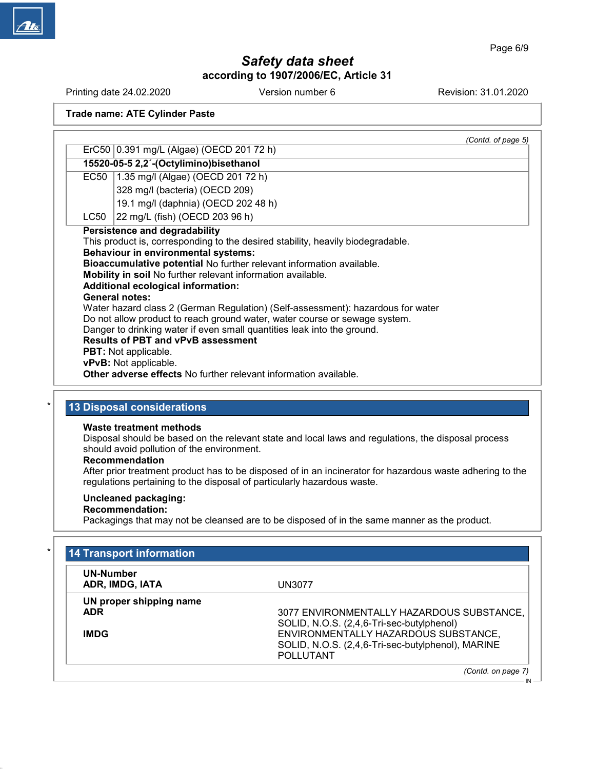Printing date 24.02.2020 Version number 6 Revision: 31.01.2020

Trade name: ATE Cylinder Paste

|      | (Contd. of page 5)                                                                                                                                                                                                                                                                                                                                                                                                                                                                                                                                                                                                                                                                                                                                                                                      |
|------|---------------------------------------------------------------------------------------------------------------------------------------------------------------------------------------------------------------------------------------------------------------------------------------------------------------------------------------------------------------------------------------------------------------------------------------------------------------------------------------------------------------------------------------------------------------------------------------------------------------------------------------------------------------------------------------------------------------------------------------------------------------------------------------------------------|
|      | ErC50 0.391 mg/L (Algae) (OECD 201 72 h)                                                                                                                                                                                                                                                                                                                                                                                                                                                                                                                                                                                                                                                                                                                                                                |
|      | 15520-05-5 2,2'-(Octylimino) bisethanol                                                                                                                                                                                                                                                                                                                                                                                                                                                                                                                                                                                                                                                                                                                                                                 |
|      | EC50   1.35 mg/l (Algae) (OECD 201 72 h)                                                                                                                                                                                                                                                                                                                                                                                                                                                                                                                                                                                                                                                                                                                                                                |
|      | 328 mg/l (bacteria) (OECD 209)                                                                                                                                                                                                                                                                                                                                                                                                                                                                                                                                                                                                                                                                                                                                                                          |
|      | 19.1 mg/l (daphnia) (OECD 202 48 h)                                                                                                                                                                                                                                                                                                                                                                                                                                                                                                                                                                                                                                                                                                                                                                     |
| LC50 | 22 mg/L (fish) (OECD 203 96 h)                                                                                                                                                                                                                                                                                                                                                                                                                                                                                                                                                                                                                                                                                                                                                                          |
|      | <b>Persistence and degradability</b><br>This product is, corresponding to the desired stability, heavily biodegradable.<br><b>Behaviour in environmental systems:</b><br>Bioaccumulative potential No further relevant information available.<br>Mobility in soil No further relevant information available.<br><b>Additional ecological information:</b><br><b>General notes:</b><br>Water hazard class 2 (German Regulation) (Self-assessment): hazardous for water<br>Do not allow product to reach ground water, water course or sewage system.<br>Danger to drinking water if even small quantities leak into the ground.<br><b>Results of PBT and vPvB assessment</b><br><b>PBT:</b> Not applicable.<br>vPvB: Not applicable.<br>Other adverse effects No further relevant information available. |

# 13 Disposal considerations

### Waste treatment methods

Disposal should be based on the relevant state and local laws and regulations, the disposal process should avoid pollution of the environment.

### Recommendation

After prior treatment product has to be disposed of in an incinerator for hazardous waste adhering to the regulations pertaining to the disposal of particularly hazardous waste.

### Uncleaned packaging:

# Recommendation:

50.0.1

Packagings that may not be cleansed are to be disposed of in the same manner as the product.

| <b>UN-Number</b>        |                                                   |
|-------------------------|---------------------------------------------------|
| ADR, IMDG, IATA         | UN3077                                            |
| UN proper shipping name |                                                   |
| <b>ADR</b>              | 3077 ENVIRONMENTALLY HAZARDOUS SUBSTANCE,         |
|                         | SOLID, N.O.S. (2,4,6-Tri-sec-butylphenol)         |
| <b>IMDG</b>             | ENVIRONMENTALLY HAZARDOUS SUBSTANCE,              |
|                         | SOLID, N.O.S. (2,4,6-Tri-sec-butylphenol), MARINE |
|                         | <b>POLLUTANT</b>                                  |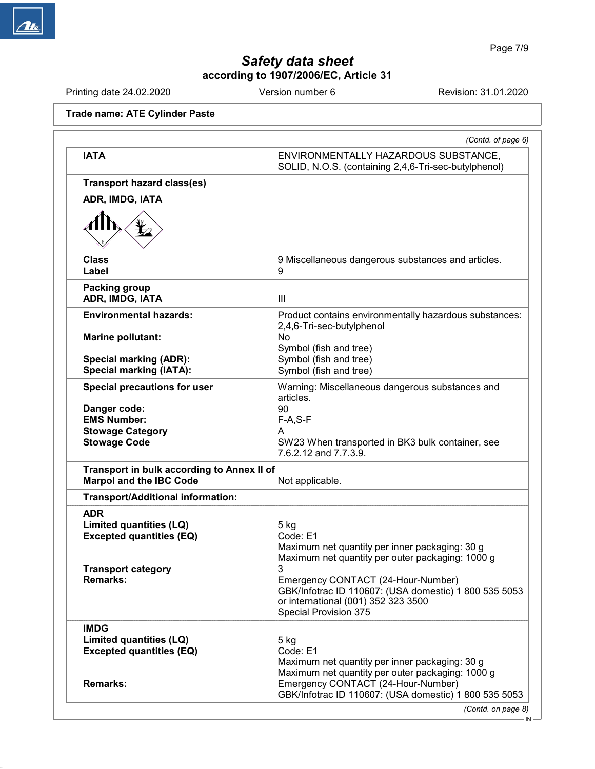Printing date 24.02.2020 Version number 6 Revision: 31.01.2020

Trade name: ATE Cylinder Paste

| <b>IATA</b>                                                                  | ENVIRONMENTALLY HAZARDOUS SUBSTANCE,                                                                                     |
|------------------------------------------------------------------------------|--------------------------------------------------------------------------------------------------------------------------|
|                                                                              | SOLID, N.O.S. (containing 2,4,6-Tri-sec-butylphenol)                                                                     |
| <b>Transport hazard class(es)</b>                                            |                                                                                                                          |
| ADR, IMDG, IATA                                                              |                                                                                                                          |
|                                                                              |                                                                                                                          |
| <b>Class</b><br>Label                                                        | 9 Miscellaneous dangerous substances and articles.<br>9                                                                  |
| <b>Packing group</b><br>ADR, IMDG, IATA                                      | III                                                                                                                      |
| <b>Environmental hazards:</b>                                                | Product contains environmentally hazardous substances:<br>2,4,6-Tri-sec-butylphenol                                      |
| Marine pollutant:                                                            | No<br>Symbol (fish and tree)                                                                                             |
| <b>Special marking (ADR):</b><br><b>Special marking (IATA):</b>              | Symbol (fish and tree)<br>Symbol (fish and tree)                                                                         |
| Special precautions for user                                                 | Warning: Miscellaneous dangerous substances and<br>articles.                                                             |
| Danger code:                                                                 | 90                                                                                                                       |
| <b>EMS Number:</b><br><b>Stowage Category</b>                                | $F-A, S-F$<br>A                                                                                                          |
| <b>Stowage Code</b>                                                          | SW23 When transported in BK3 bulk container, see<br>7.6.2.12 and 7.7.3.9.                                                |
| Transport in bulk according to Annex II of<br><b>Marpol and the IBC Code</b> | Not applicable.                                                                                                          |
| <b>Transport/Additional information:</b>                                     |                                                                                                                          |
| <b>ADR</b><br>Limited quantities (LQ)<br><b>Excepted quantities (EQ)</b>     | $5$ kg<br>Code: E1<br>Maximum net quantity per inner packaging: 30 g<br>Maximum net quantity per outer packaging: 1000 g |
| <b>Transport category</b><br><b>Remarks:</b>                                 | Emergency CONTACT (24-Hour-Number)                                                                                       |
|                                                                              | GBK/Infotrac ID 110607: (USA domestic) 1 800 535 5053<br>or international (001) 352 323 3500<br>Special Provision 375    |
| <b>IMDG</b>                                                                  |                                                                                                                          |
| Limited quantities (LQ)                                                      | 5 kg                                                                                                                     |
| <b>Excepted quantities (EQ)</b>                                              | Code: E1<br>Maximum net quantity per inner packaging: 30 g<br>Maximum net quantity per outer packaging: 1000 g           |
| <b>Remarks:</b>                                                              | Emergency CONTACT (24-Hour-Number)<br>GBK/Infotrac ID 110607: (USA domestic) 1 800 535 5053                              |
|                                                                              | (Contd. on page 8)                                                                                                       |



50.0.1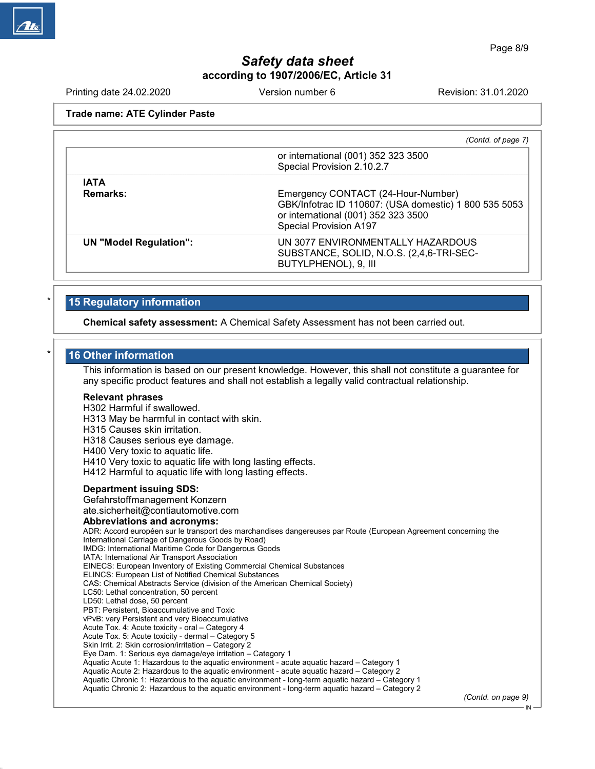Printing date 24.02.2020 **Revision: 31.01.2020** Version number 6 Revision: 31.01.2020

Trade name: ATE Cylinder Paste

|                               | (Contd. of page 7)                                                                                                                                                  |
|-------------------------------|---------------------------------------------------------------------------------------------------------------------------------------------------------------------|
|                               | or international (001) 352 323 3500<br>Special Provision 2.10.2.7                                                                                                   |
| <b>IATA</b>                   |                                                                                                                                                                     |
| <b>Remarks:</b>               | Emergency CONTACT (24-Hour-Number)<br>GBK/Infotrac ID 110607: (USA domestic) 1 800 535 5053<br>or international (001) 352 323 3500<br><b>Special Provision A197</b> |
| <b>UN "Model Regulation":</b> | UN 3077 ENVIRONMENTALLY HAZARDOUS<br>SUBSTANCE, SOLID, N.O.S. (2,4,6-TRI-SEC-<br>BUTYLPHENOL), 9, III                                                               |

# 15 Regulatory information

Chemical safety assessment: A Chemical Safety Assessment has not been carried out.

# 16 Other information

This information is based on our present knowledge. However, this shall not constitute a guarantee for any specific product features and shall not establish a legally valid contractual relationship.

#### Relevant phrases

H302 Harmful if swallowed.

H313 May be harmful in contact with skin.

H315 Causes skin irritation.

H318 Causes serious eye damage.

H400 Very toxic to aquatic life.

H410 Very toxic to aquatic life with long lasting effects.

H412 Harmful to aquatic life with long lasting effects.

### Department issuing SDS:

50.0.1

Gefahrstoffmanagement Konzern ate.sicherheit@contiautomotive.com

#### Abbreviations and acronyms:

ADR: Accord européen sur le transport des marchandises dangereuses par Route (European Agreement concerning the International Carriage of Dangerous Goods by Road) IMDG: International Maritime Code for Dangerous Goods IATA: International Air Transport Association EINECS: European Inventory of Existing Commercial Chemical Substances ELINCS: European List of Notified Chemical Substances CAS: Chemical Abstracts Service (division of the American Chemical Society) LC50: Lethal concentration, 50 percent LD50: Lethal dose, 50 percent PBT: Persistent, Bioaccumulative and Toxic vPvB: very Persistent and very Bioaccumulative Acute Tox. 4: Acute toxicity - oral – Category 4 Acute Tox. 5: Acute toxicity - dermal – Category 5 Skin Irrit. 2: Skin corrosion/irritation – Category 2 Eye Dam. 1: Serious eye damage/eye irritation – Category 1 Aquatic Acute 1: Hazardous to the aquatic environment - acute aquatic hazard – Category 1 Aquatic Acute 2: Hazardous to the aquatic environment - acute aquatic hazard – Category 2 Aquatic Chronic 1: Hazardous to the aquatic environment - long-term aquatic hazard – Category 1 Aquatic Chronic 2: Hazardous to the aquatic environment - long-term aquatic hazard – Category 2

(Contd. on page 9)

IN